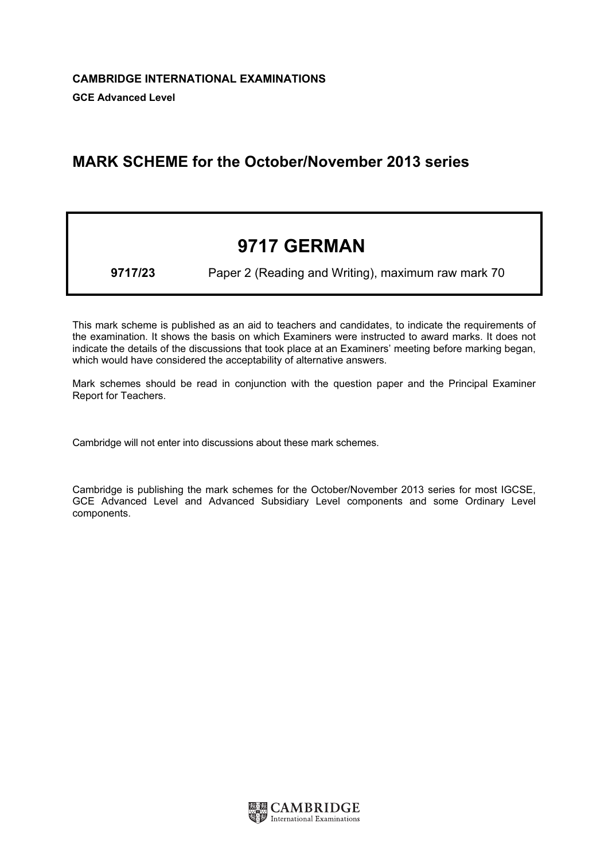## MARK SCHEME for the October/November 2013 series

# 9717 GERMAN

9717/23 Paper 2 (Reading and Writing), maximum raw mark 70

This mark scheme is published as an aid to teachers and candidates, to indicate the requirements of the examination. It shows the basis on which Examiners were instructed to award marks. It does not indicate the details of the discussions that took place at an Examiners' meeting before marking began, which would have considered the acceptability of alternative answers.

Mark schemes should be read in conjunction with the question paper and the Principal Examiner Report for Teachers.

Cambridge will not enter into discussions about these mark schemes.

Cambridge is publishing the mark schemes for the October/November 2013 series for most IGCSE, GCE Advanced Level and Advanced Subsidiary Level components and some Ordinary Level components.

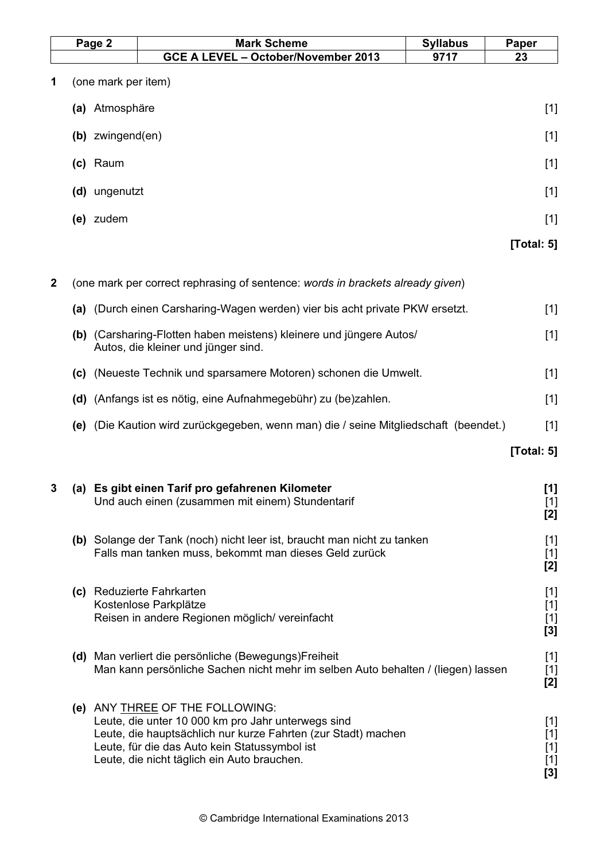|              | Page 2              |                       | <b>Mark Scheme</b>                                                                                                                                                                                                                                     | <b>Syllabus</b> | Paper                                     |
|--------------|---------------------|-----------------------|--------------------------------------------------------------------------------------------------------------------------------------------------------------------------------------------------------------------------------------------------------|-----------------|-------------------------------------------|
|              |                     |                       | GCE A LEVEL - October/November 2013                                                                                                                                                                                                                    | 9717            | 23                                        |
| 1            | (one mark per item) |                       |                                                                                                                                                                                                                                                        |                 |                                           |
|              |                     | (a) Atmosphäre        |                                                                                                                                                                                                                                                        |                 | $[1]$                                     |
|              |                     | $(b)$ zwingend $(en)$ |                                                                                                                                                                                                                                                        |                 | $[1]$                                     |
|              |                     | (c) Raum              |                                                                                                                                                                                                                                                        |                 | $[1]$                                     |
|              |                     | (d) ungenutzt         |                                                                                                                                                                                                                                                        |                 | $[1]$                                     |
|              |                     | (e) zudem             |                                                                                                                                                                                                                                                        |                 | $[1]$                                     |
|              |                     |                       |                                                                                                                                                                                                                                                        |                 | [Total: 5]                                |
|              |                     |                       |                                                                                                                                                                                                                                                        |                 |                                           |
| $\mathbf{2}$ |                     |                       | (one mark per correct rephrasing of sentence: words in brackets already given)                                                                                                                                                                         |                 |                                           |
|              | (a)                 |                       | (Durch einen Carsharing-Wagen werden) vier bis acht private PKW ersetzt.                                                                                                                                                                               |                 | $[1]$                                     |
|              |                     |                       | (b) (Carsharing-Flotten haben meistens) kleinere und jüngere Autos/<br>Autos, die kleiner und jünger sind.                                                                                                                                             |                 | $[1]$                                     |
|              | (c)                 |                       | (Neueste Technik und sparsamere Motoren) schonen die Umwelt.                                                                                                                                                                                           |                 | $[1]$                                     |
|              | (d)                 |                       | (Anfangs ist es nötig, eine Aufnahmegebühr) zu (be)zahlen.                                                                                                                                                                                             |                 | $[1]$                                     |
|              | (e)                 |                       | (Die Kaution wird zurückgegeben, wenn man) die / seine Mitgliedschaft (beendet.)                                                                                                                                                                       |                 | $[1]$                                     |
|              |                     |                       |                                                                                                                                                                                                                                                        |                 | [Total: $5$ ]                             |
| 3            |                     |                       | (a) Es gibt einen Tarif pro gefahrenen Kilometer<br>Und auch einen (zusammen mit einem) Stundentarif                                                                                                                                                   |                 | [1]<br>$[1]$<br>[2]                       |
|              |                     |                       | (b) Solange der Tank (noch) nicht leer ist, braucht man nicht zu tanken<br>Falls man tanken muss, bekommt man dieses Geld zurück                                                                                                                       |                 | $[1]$<br>$[1]$<br>[2]                     |
|              |                     |                       | (c) Reduzierte Fahrkarten<br>Kostenlose Parkplätze<br>Reisen in andere Regionen möglich/ vereinfacht                                                                                                                                                   |                 | $[1]$<br>$[1]$<br>$[1]$<br>[3]            |
|              |                     |                       | (d) Man verliert die persönliche (Bewegungs)Freiheit<br>Man kann persönliche Sachen nicht mehr im selben Auto behalten / (liegen) lassen                                                                                                               |                 | $[1]$<br>$[1]$<br>[2]                     |
|              |                     |                       | (e) ANY THREE OF THE FOLLOWING:<br>Leute, die unter 10 000 km pro Jahr unterwegs sind<br>Leute, die hauptsächlich nur kurze Fahrten (zur Stadt) machen<br>Leute, für die das Auto kein Statussymbol ist<br>Leute, die nicht täglich ein Auto brauchen. |                 | $[1]$<br>$[1]$<br>$[1]$<br>$[1]$<br>$[3]$ |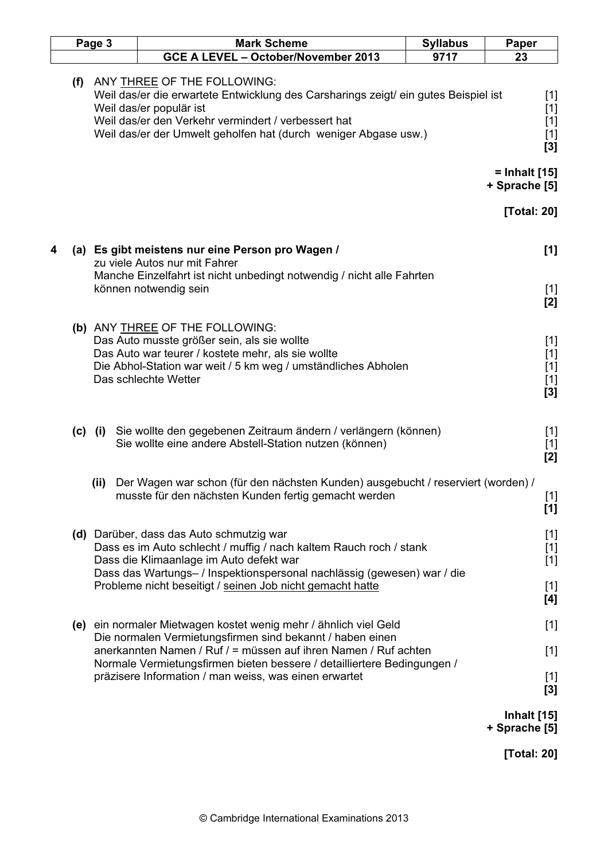| Page 3 |     |           | <b>Mark Scheme</b>                                                                                                                                                                                                                                                      | <b>Syllabus</b> | Paper                                   |
|--------|-----|-----------|-------------------------------------------------------------------------------------------------------------------------------------------------------------------------------------------------------------------------------------------------------------------------|-----------------|-----------------------------------------|
|        |     |           | GCE A LEVEL - October/November 2013                                                                                                                                                                                                                                     | 9717            | 23                                      |
|        | (f) |           | ANY THREE OF THE FOLLOWING:<br>Weil das/er die erwartete Entwicklung des Carsharings zeigt/ ein gutes Beispiel ist<br>Weil das/er populär ist<br>Weil das/er den Verkehr vermindert / verbessert hat<br>Weil das/er der Umwelt geholfen hat (durch weniger Abgase usw.) |                 | $[1]$<br>$[1]$<br>$[1]$<br>$[1]$<br>[3] |
|        |     |           |                                                                                                                                                                                                                                                                         |                 | = Inhalt [15]<br>+ Sprache [5]          |
|        |     |           |                                                                                                                                                                                                                                                                         |                 | [Total: 20]                             |
| 4      |     |           | (a) Es gibt meistens nur eine Person pro Wagen /<br>zu viele Autos nur mit Fahrer                                                                                                                                                                                       |                 | $[1]$                                   |
|        |     |           | Manche Einzelfahrt ist nicht unbedingt notwendig / nicht alle Fahrten<br>können notwendig sein                                                                                                                                                                          |                 | $[1]$<br>[2]                            |
|        |     |           | (b) ANY THREE OF THE FOLLOWING:<br>Das Auto musste größer sein, als sie wollte<br>Das Auto war teurer / kostete mehr, als sie wollte<br>Die Abhol-Station war weit / 5 km weg / umständliches Abholen<br>Das schlechte Wetter                                           |                 | $[1]$<br>$[1]$<br>$[1]$<br>$[1]$<br>[3] |
|        |     | $(c)$ (i) | Sie wollte den gegebenen Zeitraum ändern / verlängern (können)<br>Sie wollte eine andere Abstell-Station nutzen (können)                                                                                                                                                |                 | $[1]$<br>$[1]$<br>[2]                   |
|        |     | (ii)      | Der Wagen war schon (für den nächsten Kunden) ausgebucht / reserviert (worden) /<br>musste für den nächsten Kunden fertig gemacht werden                                                                                                                                |                 | $[1]$<br>[1]                            |
|        |     |           | (d) Darüber, dass das Auto schmutzig war<br>Dass es im Auto schlecht / muffig / nach kaltem Rauch roch / stank<br>Dass die Klimaanlage im Auto defekt war<br>Dass das Wartungs- / Inspektionspersonal nachlässig (gewesen) war / die                                    |                 | $[1]$<br>$[1]$<br>$[1]$                 |
|        |     |           | Probleme nicht beseitigt / seinen Job nicht gemacht hatte                                                                                                                                                                                                               |                 | $[1]$<br>[4]                            |
|        |     |           | (e) ein normaler Mietwagen kostet wenig mehr / ähnlich viel Geld<br>Die normalen Vermietungsfirmen sind bekannt / haben einen                                                                                                                                           |                 | $[1]$                                   |
|        |     |           | anerkannten Namen / Ruf / = müssen auf ihren Namen / Ruf achten<br>Normale Vermietungsfirmen bieten bessere / detailliertere Bedingungen /<br>präzisere Information / man weiss, was einen erwartet                                                                     |                 | $[1]$<br>$[1]$                          |
|        |     |           |                                                                                                                                                                                                                                                                         |                 | [3]                                     |
|        |     |           |                                                                                                                                                                                                                                                                         |                 | <b>Inhalt</b> [15]<br>+ Sprache [5]     |
|        |     |           |                                                                                                                                                                                                                                                                         |                 | [Total: 20]                             |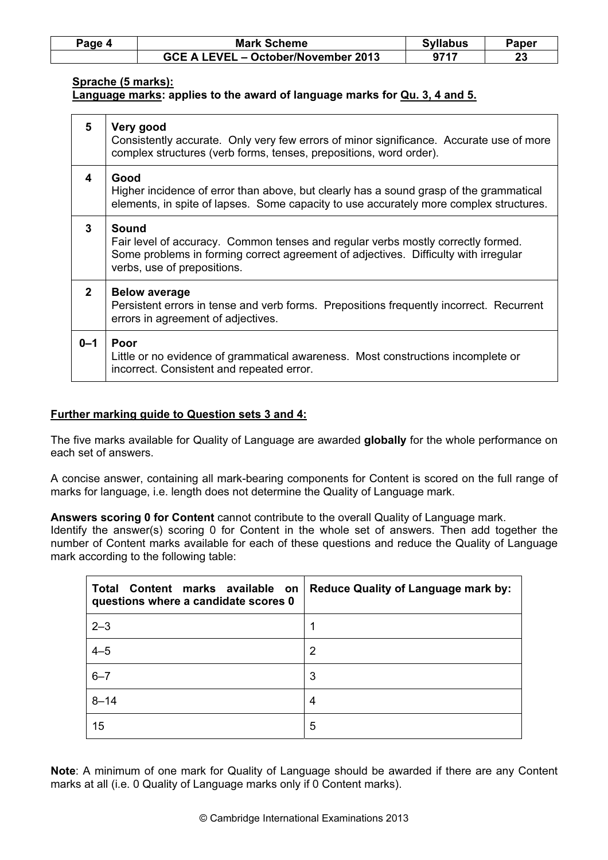| Paqe 4 | <b>Mark Scheme</b>                  | <b>Syllabus</b> | Paper     |
|--------|-------------------------------------|-----------------|-----------|
|        | GCE A LEVEL – October/November 2013 | 9717            | ົາາ<br>23 |

#### Sprache (5 marks):

#### Language marks: applies to the award of language marks for Qu. 3, 4 and 5.

| 5            | Very good<br>Consistently accurate. Only very few errors of minor significance. Accurate use of more<br>complex structures (verb forms, tenses, prepositions, word order).                                      |  |  |
|--------------|-----------------------------------------------------------------------------------------------------------------------------------------------------------------------------------------------------------------|--|--|
| 4            | Good<br>Higher incidence of error than above, but clearly has a sound grasp of the grammatical<br>elements, in spite of lapses. Some capacity to use accurately more complex structures.                        |  |  |
| 3            | Sound<br>Fair level of accuracy. Common tenses and regular verbs mostly correctly formed.<br>Some problems in forming correct agreement of adjectives. Difficulty with irregular<br>verbs, use of prepositions. |  |  |
| $\mathbf{2}$ | <b>Below average</b><br>Persistent errors in tense and verb forms. Prepositions frequently incorrect. Recurrent<br>errors in agreement of adjectives.                                                           |  |  |
| $0 - 1$      | Poor<br>Little or no evidence of grammatical awareness. Most constructions incomplete or<br>incorrect. Consistent and repeated error.                                                                           |  |  |

#### Further marking guide to Question sets 3 and 4:

The five marks available for Quality of Language are awarded globally for the whole performance on each set of answers.

A concise answer, containing all mark-bearing components for Content is scored on the full range of marks for language, i.e. length does not determine the Quality of Language mark.

Answers scoring 0 for Content cannot contribute to the overall Quality of Language mark. Identify the answer(s) scoring 0 for Content in the whole set of answers. Then add together the number of Content marks available for each of these questions and reduce the Quality of Language mark according to the following table:

| Total Content marks available on<br>questions where a candidate scores 0 | <b>Reduce Quality of Language mark by:</b> |
|--------------------------------------------------------------------------|--------------------------------------------|
| $2 - 3$                                                                  | 1                                          |
| $4 - 5$                                                                  | 2                                          |
| $6 - 7$                                                                  | 3                                          |
| $8 - 14$                                                                 | 4                                          |
| 15                                                                       | 5                                          |

Note: A minimum of one mark for Quality of Language should be awarded if there are any Content marks at all (i.e. 0 Quality of Language marks only if 0 Content marks).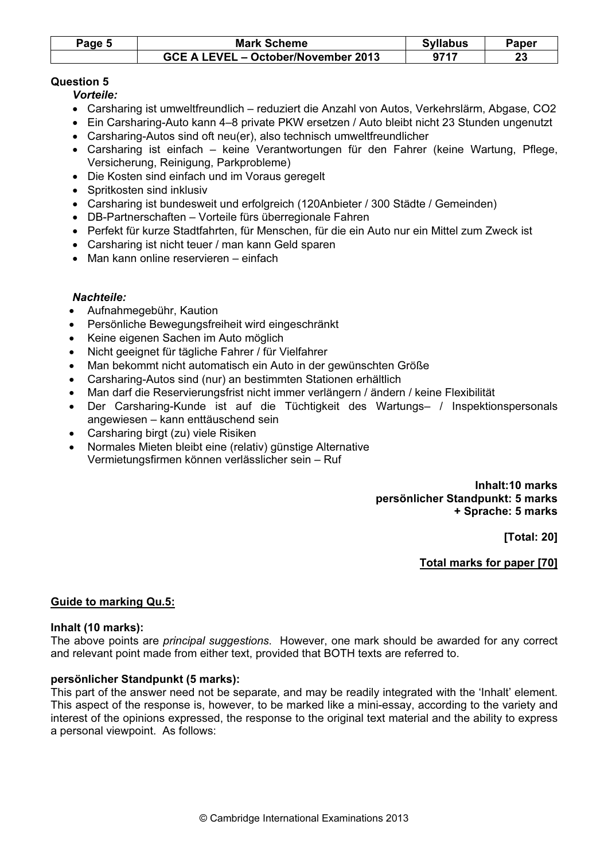| Page 5 | <b>Mark Scheme</b>                  | <b>Syllabus</b> | Paper   |
|--------|-------------------------------------|-----------------|---------|
|        | GCE A LEVEL - October/November 2013 | 9717            | ົ<br>ZJ |

#### Question 5

Vorteile:

- Carsharing ist umweltfreundlich reduziert die Anzahl von Autos, Verkehrslärm, Abgase, CO2
- Ein Carsharing-Auto kann 4–8 private PKW ersetzen / Auto bleibt nicht 23 Stunden ungenutzt
- Carsharing-Autos sind oft neu(er), also technisch umweltfreundlicher
- Carsharing ist einfach keine Verantwortungen für den Fahrer (keine Wartung, Pflege, Versicherung, Reinigung, Parkprobleme)
- Die Kosten sind einfach und im Voraus geregelt
- Spritkosten sind inklusiv
- Carsharing ist bundesweit und erfolgreich (120Anbieter / 300 Städte / Gemeinden)
- DB-Partnerschaften Vorteile fürs überregionale Fahren
- Perfekt für kurze Stadtfahrten, für Menschen, für die ein Auto nur ein Mittel zum Zweck ist
- Carsharing ist nicht teuer / man kann Geld sparen
- Man kann online reservieren einfach

#### Nachteile:

- Aufnahmegebühr, Kaution
- Persönliche Bewegungsfreiheit wird eingeschränkt
- Keine eigenen Sachen im Auto möglich
- Nicht geeignet für tägliche Fahrer / für Vielfahrer
- Man bekommt nicht automatisch ein Auto in der gewünschten Größe
- Carsharing-Autos sind (nur) an bestimmten Stationen erhältlich
- Man darf die Reservierungsfrist nicht immer verlängern / ändern / keine Flexibilität
- Der Carsharing-Kunde ist auf die Tüchtigkeit des Wartungs– / Inspektionspersonals angewiesen – kann enttäuschend sein
- Carsharing birgt (zu) viele Risiken
- Normales Mieten bleibt eine (relativ) günstige Alternative Vermietungsfirmen können verlässlicher sein – Ruf

 Inhalt:10 marks persönlicher Standpunkt: 5 marks + Sprache: 5 marks

[Total: 20]

Total marks for paper [70]

#### Guide to marking Qu.5:

#### Inhalt (10 marks):

The above points are *principal suggestions*. However, one mark should be awarded for any correct and relevant point made from either text, provided that BOTH texts are referred to.

#### persönlicher Standpunkt (5 marks):

This part of the answer need not be separate, and may be readily integrated with the 'Inhalt' element. This aspect of the response is, however, to be marked like a mini-essay, according to the variety and interest of the opinions expressed, the response to the original text material and the ability to express a personal viewpoint. As follows: